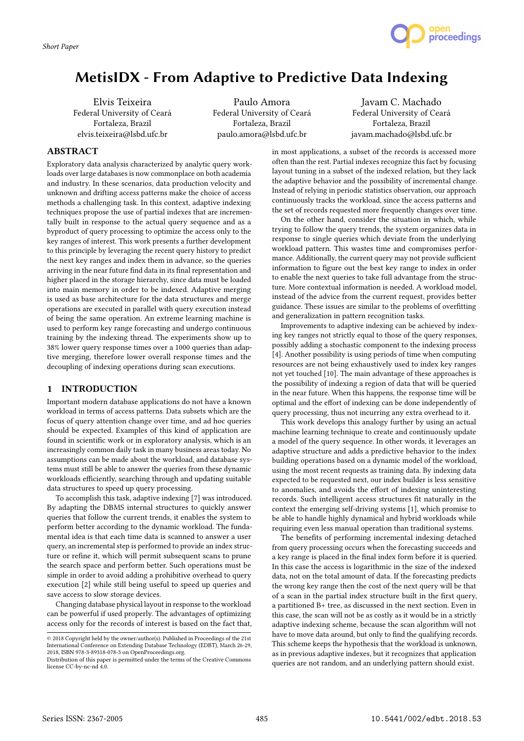

# MetisIDX - From Adaptive to Predictive Data Indexing

Elvis Teixeira Federal University of Ceará Fortaleza, Brazil elvis.teixeira@lsbd.ufc.br

Paulo Amora Federal University of Ceará Fortaleza, Brazil paulo.amora@lsbd.ufc.br

Javam C. Machado Federal University of Ceará Fortaleza, Brazil javam.machado@lsbd.ufc.br

### **ABSTRACT**

Exploratory data analysis characterized by analytic query workloads over large databases is now commonplace on both academia and industry. In these scenarios, data production velocity and unknown and drifting access patterns make the choice of access methods a challenging task. In this context, adaptive indexing techniques propose the use of partial indexes that are incrementally built in response to the actual query sequence and as a byproduct of query processing to optimize the access only to the key ranges of interest. This work presents a further development to this principle by leveraging the recent query history to predict the next key ranges and index them in advance, so the queries arriving in the near future find data in its final representation and higher placed in the storage hierarchy, since data must be loaded into main memory in order to be indexed. Adaptive merging is used as base architecture for the data structures and merge operations are executed in parallel with query execution instead of being the same operation. An extreme learning machine is used to perform key range forecasting and undergo continuous training by the indexing thread. The experiments show up to 38% lower query response times over a 1000 queries than adaptive merging, therefore lower overall response times and the decoupling of indexing operations during scan executions.

### 1 INTRODUCTION

Important modern database applications do not have a known workload in terms of access patterns. Data subsets which are the focus of query attention change over time, and ad hoc queries should be expected. Examples of this kind of application are found in scientific work or in exploratory analysis, which is an increasingly common daily task in many business areas today. No assumptions can be made about the workload, and database systems must still be able to answer the queries from these dynamic workloads efficiently, searching through and updating suitable data structures to speed up query processing.

To accomplish this task, adaptive indexing [7] was introduced. By adapting the DBMS internal structures to quickly answer queries that follow the current trends, it enables the system to perform better according to the dynamic workload. The fundamental idea is that each time data is scanned to answer a user query, an incremental step is performed to provide an index structure or refine it, which will permit subsequent scans to prune the search space and perform better. Such operations must be simple in order to avoid adding a prohibitive overhead to query execution [2] while still being useful to speed up queries and save access to slow storage devices.

Changing database physical layout in response to the workload can be powerful if used properly. The advantages of optimizing access only for the records of interest is based on the fact that, in most applications, a subset of the records is accessed more often than the rest. Partial indexes recognize this fact by focusing layout tuning in a subset of the indexed relation, but they lack the adaptive behavior and the possibility of incremental change. Instead of relying in periodic statistics observation, our approach continuously tracks the workload, since the access patterns and the set of records requested more frequently changes over time.

On the other hand, consider the situation in which, while trying to follow the query trends, the system organizes data in response to single queries which deviate from the underlying workload pattern. This wastes time and compromises performance. Additionally, the current query may not provide sufficient information to figure out the best key range to index in order to enable the next queries to take full advantage from the structure. More contextual information is needed. A workload model, instead of the advice from the current request, provides better guidance. These issues are similar to the problems of overfitting and generalization in pattern recognition tasks.

Improvements to adaptive indexing can be achieved by indexing key ranges not strictly equal to those of the query responses, possibly adding a stochastic component to the indexing process [4]. Another possibility is using periods of time when computing resources are not being exhaustively used to index key ranges not yet touched [10]. The main advantage of these approaches is the possibility of indexing a region of data that will be queried in the near future. When this happens, the response time will be optimal and the effort of indexing can be done independently of query processing, thus not incurring any extra overhead to it.

This work develops this analogy further by using an actual machine learning technique to create and continuously update a model of the query sequence. In other words, it leverages an adaptive structure and adds a predictive behavior to the index building operations based on a dynamic model of the workload, using the most recent requests as training data. By indexing data expected to be requested next, our index builder is less sensitive to anomalies, and avoids the effort of indexing uninteresting records. Such intelligent access structures fit naturally in the context the emerging self-driving systems [1], which promise to be able to handle highly dynamical and hybrid workloads while requiring even less manual operation than traditional systems.

The benefits of performing incremental indexing detached from query processing occurs when the forecasting succeeds and a key range is placed in the final index form before it is queried. In this case the access is logarithmic in the size of the indexed data, not on the total amount of data. If the forecasting predicts the wrong key range then the cost of the next query will be that of a scan in the partial index structure built in the first query, a partitioned B+ tree, as discussed in the next section. Even in this case, the scan will not be as costly as it would be in a strictly adaptive indexing scheme, because the scan algorithm will not have to move data around, but only to find the qualifying records. This scheme keeps the hypothesis that the workload is unknown, as in previous adaptive indexes, but it recognizes that application queries are not random, and an underlying pattern should exist.

<sup>©</sup> 2018 Copyright held by the owner/author(s). Published in Proceedings of the 21st International Conference on Extending Database Technology (EDBT), March 26-29, 2018, ISBN 978-3-89318-078-3 on OpenProceedings.org.

Distribution of this paper is permitted under the terms of the Creative Commons license CC-by-nc-nd 4.0.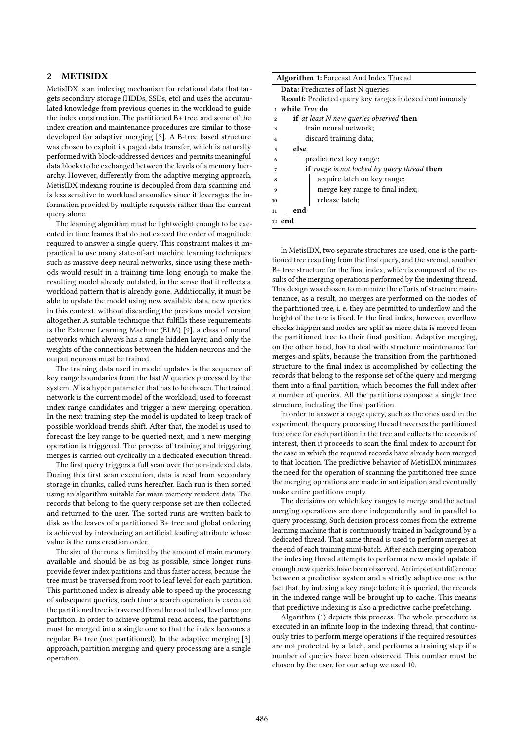## 2 METISIDX

MetisIDX is an indexing mechanism for relational data that targets secondary storage (HDDs, SSDs, etc) and uses the accumulated knowledge from previous queries in the workload to guide the index construction. The partitioned B+ tree, and some of the index creation and maintenance procedures are similar to those developed for adaptive merging [3]. A B-tree based structure was chosen to exploit its paged data transfer, which is naturally performed with block-addressed devices and permits meaningful data blocks to be exchanged between the levels of a memory hierarchy. However, differently from the adaptive merging approach, MetisIDX indexing routine is decoupled from data scanning and is less sensitive to workload anomalies since it leverages the information provided by multiple requests rather than the current query alone.

The learning algorithm must be lightweight enough to be executed in time frames that do not exceed the order of magnitude required to answer a single query. This constraint makes it impractical to use many state-of-art machine learning techniques such as massive deep neural networks, since using these methods would result in a training time long enough to make the resulting model already outdated, in the sense that it reflects a workload pattern that is already gone. Additionally, it must be able to update the model using new available data, new queries in this context, without discarding the previous model version altogether. A suitable technique that fulfills these requirements is the Extreme Learning Machine (ELM) [9], a class of neural networks which always has a single hidden layer, and only the weights of the connections between the hidden neurons and the output neurons must be trained.

The training data used in model updates is the sequence of key range boundaries from the last N queries processed by the system. N is a hyper parameter that has to be chosen. The trained network is the current model of the workload, used to forecast index range candidates and trigger a new merging operation. In the next training step the model is updated to keep track of possible workload trends shift. After that, the model is used to forecast the key range to be queried next, and a new merging operation is triggered. The process of training and triggering merges is carried out cyclically in a dedicated execution thread.

The first query triggers a full scan over the non-indexed data. During this first scan execution, data is read from secondary storage in chunks, called runs hereafter. Each run is then sorted using an algorithm suitable for main memory resident data. The records that belong to the query response set are then collected and returned to the user. The sorted runs are written back to disk as the leaves of a partitioned B+ tree and global ordering is achieved by introducing an artificial leading attribute whose value is the runs creation order.

The size of the runs is limited by the amount of main memory available and should be as big as possible, since longer runs provide fewer index partitions and thus faster access, because the tree must be traversed from root to leaf level for each partition. This partitioned index is already able to speed up the processing of subsequent queries, each time a search operation is executed the partitioned tree is traversed from the root to leaf level once per partition. In order to achieve optimal read access, the partitions must be merged into a single one so that the index becomes a regular B+ tree (not partitioned). In the adaptive merging [3] approach, partition merging and query processing are a single operation.

| Algorithm 1: Forecast And Index Thread                                |
|-----------------------------------------------------------------------|
| <b>Data:</b> Predicates of last N queries                             |
| <b>Result:</b> Predicted query key ranges indexed continuously        |
| 1 while <i>True</i> do                                                |
| <b>if</b> at least N new queries observed <b>then</b><br>$\mathbf{2}$ |
| train neural network;<br>3                                            |
| discard training data;<br>$\overline{\bf{4}}$                         |
| else<br>5                                                             |
| predict next key range;<br>6                                          |
| if range is not locked by query thread then<br>7                      |
| acquire latch on key range;<br>8                                      |
| merge key range to final index;<br>9                                  |
| release latch;<br>10                                                  |
| end<br>11                                                             |
| 12 end                                                                |

In MetisIDX, two separate structures are used, one is the partitioned tree resulting from the first query, and the second, another B+ tree structure for the final index, which is composed of the results of the merging operations performed by the indexing thread. This design was chosen to minimize the efforts of structure maintenance, as a result, no merges are performed on the nodes of the partitioned tree, i. e. they are permitted to underflow and the height of the tree is fixed. In the final index, however, overflow checks happen and nodes are split as more data is moved from the partitioned tree to their final position. Adaptive merging, on the other hand, has to deal with structure maintenance for merges and splits, because the transition from the partitioned structure to the final index is accomplished by collecting the records that belong to the response set of the query and merging them into a final partition, which becomes the full index after a number of queries. All the partitions compose a single tree structure, including the final partition.

In order to answer a range query, such as the ones used in the experiment, the query processing thread traverses the partitioned tree once for each partition in the tree and collects the records of interest, then it proceeds to scan the final index to account for the case in which the required records have already been merged to that location. The predictive behavior of MetisIDX minimizes the need for the operation of scanning the partitioned tree since the merging operations are made in anticipation and eventually make entire partitions empty.

The decisions on which key ranges to merge and the actual merging operations are done independently and in parallel to query processing. Such decision process comes from the extreme learning machine that is continuously trained in background by a dedicated thread. That same thread is used to perform merges at the end of each training mini-batch. After each merging operation the indexing thread attempts to perform a new model update if enough new queries have been observed. An important difference between a predictive system and a strictly adaptive one is the fact that, by indexing a key range before it is queried, the records in the indexed range will be brought up to cache. This means that predictive indexing is also a predictive cache prefetching.

Algorithm (1) depicts this process. The whole procedure is executed in an infinite loop in the indexing thread, that continuously tries to perform merge operations if the required resources are not protected by a latch, and performs a training step if a number of queries have been observed. This number must be chosen by the user, for our setup we used 10.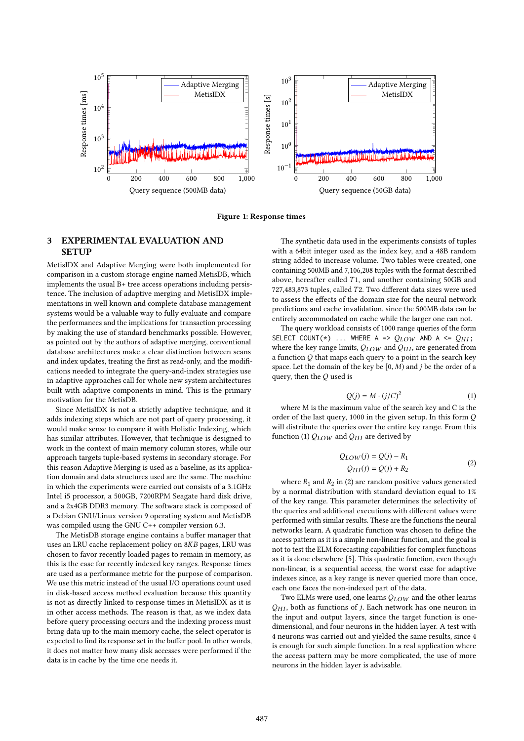

Figure 1: Response times

## 3 EXPERIMENTAL EVALUATION AND **SETUP**

MetisIDX and Adaptive Merging were both implemented for comparison in a custom storage engine named MetisDB, which implements the usual B+ tree access operations including persistence. The inclusion of adaptive merging and MetisIDX implementations in well known and complete database management systems would be a valuable way to fully evaluate and compare the performances and the implications for transaction processing by making the use of standard benchmarks possible. However, as pointed out by the authors of adaptive merging, conventional database architectures make a clear distinction between scans and index updates, treating the first as read-only, and the modifications needed to integrate the query-and-index strategies use in adaptive approaches call for whole new system architectures built with adaptive components in mind. This is the primary motivation for the MetisDB.

Since MetisIDX is not a strictly adaptive technique, and it adds indexing steps which are not part of query processing, it would make sense to compare it with Holistic Indexing, which has similar attributes. However, that technique is designed to work in the context of main memory column stores, while our approach targets tuple-based systems in secondary storage. For this reason Adaptive Merging is used as a baseline, as its application domain and data structures used are the same. The machine in which the experiments were carried out consists of a 3.1GHz Intel i5 processor, a 500GB, 7200RPM Seagate hard disk drive, and a 2x4GB DDR3 memory. The software stack is composed of a Debian GNU/Linux version 9 operating system and MetisDB was compiled using the GNU C++ compiler version 6.3.

The MetisDB storage engine contains a buffer manager that uses an LRU cache replacement policy on 8KB pages, LRU was chosen to favor recently loaded pages to remain in memory, as this is the case for recently indexed key ranges. Response times are used as a performance metric for the purpose of comparison. We use this metric instead of the usual I/O operations count used in disk-based access method evaluation because this quantity is not as directly linked to response times in MetisIDX as it is in other access methods. The reason is that, as we index data before query processing occurs and the indexing process must bring data up to the main memory cache, the select operator is expected to find its response set in the buffer pool. In other words, it does not matter how many disk accesses were performed if the data is in cache by the time one needs it.

The synthetic data used in the experiments consists of tuples with a 64bit integer used as the index key, and a 48B random string added to increase volume. Two tables were created, one containing 500MB and 7,106,208 tuples with the format described above, hereafter called  $T1$ , and another containing  $50GB$  and 727,483,873 tuples, called T2. Two different data sizes were used to assess the effects of the domain size for the neural network predictions and cache invalidation, since the 500MB data can be entirely accommodated on cache while the larger one can not.

The query workload consists of 1000 range queries of the form SELECT COUNT(\*) ... WHERE A =>  $Q_{LOW}$  AND A <=  $Q_{HI}$ ; where the key range limits,  $Q_{LOW}$  and  $Q_{HI}$ , are generated from a function  $Q$  that maps each query to a point in the search key space. Let the domain of the key be  $[0, M)$  and j be the order of a query, then the Q used is

$$
Q(j) = M \cdot (j/C)^2 \tag{1}
$$

where M is the maximum value of the search key and C is the order of the last query, 1000 in the given setup. In this form Q will distribute the queries over the entire key range. From this function (1)  $Q_{LOW}$  and  $Q_{HI}$  are derived by

$$
Q_{LOW}(j) = Q(j) - R_1
$$
  

$$
Q_{HI}(j) = Q(j) + R_2
$$
 (2)

where  $R_1$  and  $R_2$  in (2) are random positive values generated by a normal distribution with standard deviation equal to 1% of the key range. This parameter determines the selectivity of the queries and additional executions with different values were performed with similar results. These are the functions the neural networks learn. A quadratic function was chosen to define the access pattern as it is a simple non-linear function, and the goal is not to test the ELM forecasting capabilities for complex functions as it is done elsewhere [5]. This quadratic function, even though non-linear, is a sequential access, the worst case for adaptive indexes since, as a key range is never queried more than once, each one faces the non-indexed part of the data.

Two ELMs were used, one learns  $Q_{LOW}$  and the other learns  $Q_{HI}$ , both as functions of *j*. Each network has one neuron in the input and output layers, since the target function is onedimensional, and four neurons in the hidden layer. A test with 4 neurons was carried out and yielded the same results, since 4 is enough for such simple function. In a real application where the access pattern may be more complicated, the use of more neurons in the hidden layer is advisable.